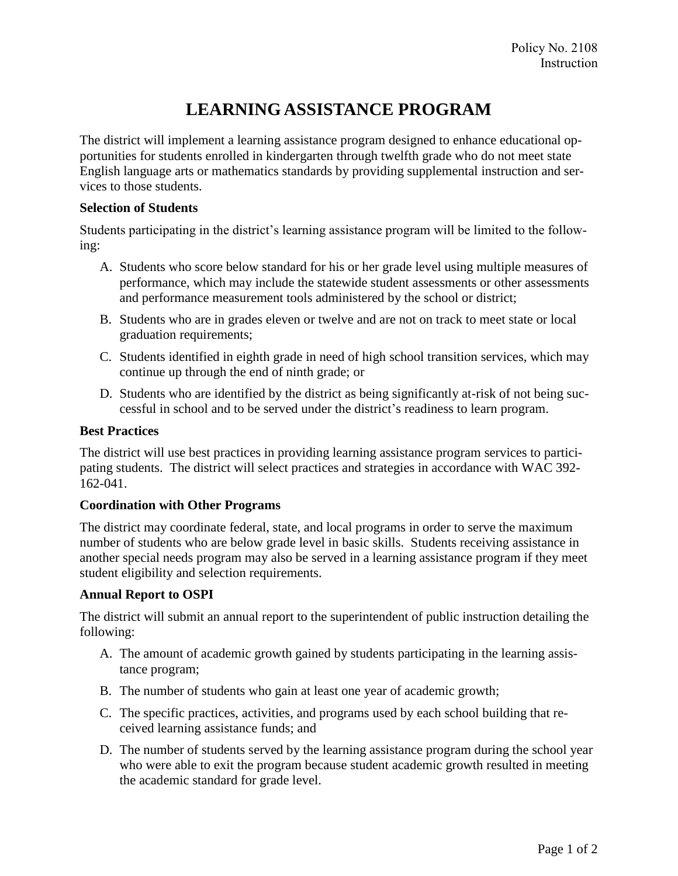# **LEARNING ASSISTANCE PROGRAM**

The district will implement a learning assistance program designed to enhance educational opportunities for students enrolled in kindergarten through twelfth grade who do not meet state English language arts or mathematics standards by providing supplemental instruction and services to those students.

#### **Selection of Students**

Students participating in the district's learning assistance program will be limited to the following:

- A. Students who score below standard for his or her grade level using multiple measures of performance, which may include the statewide student assessments or other assessments and performance measurement tools administered by the school or district;
- B. Students who are in grades eleven or twelve and are not on track to meet state or local graduation requirements;
- C. Students identified in eighth grade in need of high school transition services, which may continue up through the end of ninth grade; or
- D. Students who are identified by the district as being significantly at-risk of not being successful in school and to be served under the district's readiness to learn program.

# **Best Practices**

The district will use best practices in providing learning assistance program services to participating students. The district will select practices and strategies in accordance with WAC 392- 162-041.

## **Coordination with Other Programs**

The district may coordinate federal, state, and local programs in order to serve the maximum number of students who are below grade level in basic skills. Students receiving assistance in another special needs program may also be served in a learning assistance program if they meet student eligibility and selection requirements.

## **Annual Report to OSPI**

The district will submit an annual report to the superintendent of public instruction detailing the following:

- A. The amount of academic growth gained by students participating in the learning assistance program;
- B. The number of students who gain at least one year of academic growth;
- C. The specific practices, activities, and programs used by each school building that received learning assistance funds; and
- D. The number of students served by the learning assistance program during the school year who were able to exit the program because student academic growth resulted in meeting the academic standard for grade level.